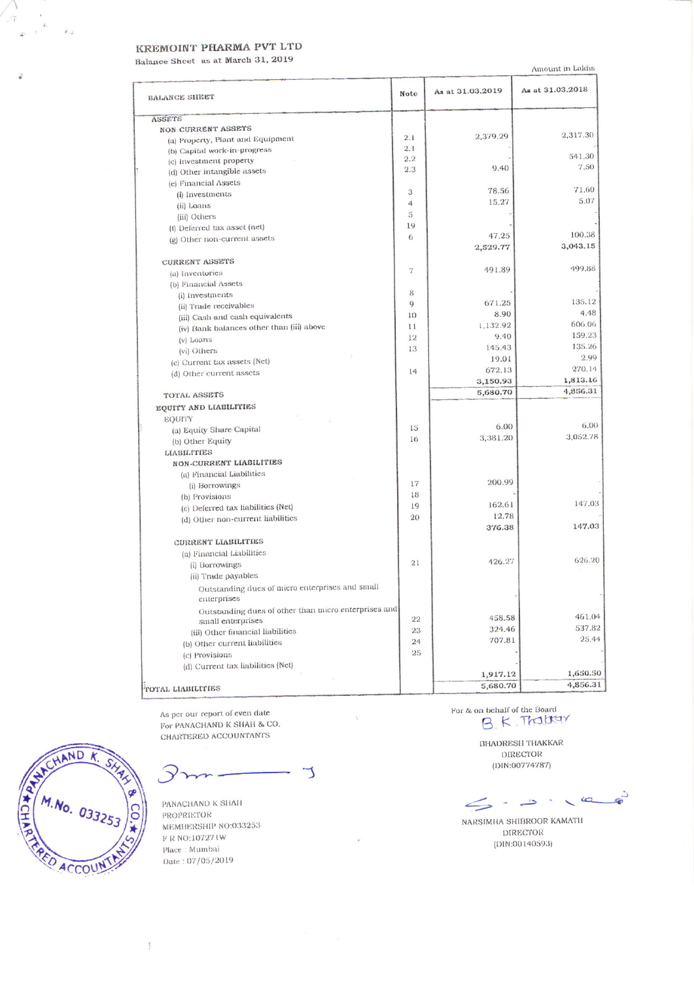## KREMOINT PHARMA PVT LTD

Balance Sheet as at March 31, 2019

 $\lambda$ 

 $\tilde{t}$  .

Amount in Lakhs

| <b>BALANCE SHEET</b>                                           | Note           | As at 31.03.2019 | As at 31.03.2018 |
|----------------------------------------------------------------|----------------|------------------|------------------|
| <b>ASSETS</b>                                                  |                |                  |                  |
| <b>NON CURRENT ASSETS</b>                                      |                |                  |                  |
| (a) Property, Plant and Equipment                              | 2.1            | 2,379.29         | 2,317.30         |
| (b) Capital work-in-progress                                   | 2.1            |                  |                  |
| (c) Investment property                                        | 2.2            |                  | 541.30<br>7.50   |
| (d) Other intangible assets                                    | 2.3            | 9.40             |                  |
| (e) Financial Assets                                           |                |                  |                  |
| (i) Investments                                                | 3              | 78.56            | 71.60            |
| (ii) Loans                                                     | 4              | 15.27            | 5.07             |
| (iii) Others                                                   | 5              |                  |                  |
| (t) Deferred tax asset (net)                                   | 19             |                  |                  |
| (g) Other non-current assets                                   | 6              | 47.25            | 100.38           |
|                                                                |                | 2,529.77         | 3,043.15         |
| <b>CURRENT ASSETS</b>                                          |                |                  |                  |
| (a) Inventories                                                | $\overline{7}$ | 491.89           | 499.88           |
| (b) Financial Assets                                           |                |                  |                  |
| (i) investments                                                | 8              |                  |                  |
| (ii) Trade receivables                                         | 9              | 671.25           | 135.12           |
| (iii) Cash and cash equivalents                                | 10             | 8.90             | 4.48             |
| (iv) Bank balances other than (iii) above                      | 11             | 1,132.92         | 606.06           |
| (v) Loans                                                      | 12             | 9.40             | 159.23           |
| (vi) Others                                                    | 13             | 145.43           | 135.26           |
| (c) Current tax assets (Net)                                   |                | 19.01            | 2.99             |
|                                                                | 14             | 672.13           | 270.14           |
| (d) Other current assets                                       |                | 3,150.93         | 1,813.16         |
| TOTAL ASSETS                                                   |                | 5,680.70         | 4,856.31         |
| EQUITY AND LIABILITIES                                         |                |                  |                  |
|                                                                |                |                  |                  |
| EQUITY                                                         | 15             | 6.00             | 6.00             |
| (a) Equity Share Capital                                       | 16             | 3,381.20         | 3,052.78         |
| (b) Other Equity                                               |                |                  |                  |
| <b>LIABILITIES</b>                                             |                |                  |                  |
| <b>NON-CURRENT LIABILITIES</b>                                 |                |                  |                  |
| (a) Financial Liabilities                                      |                | 200.99           |                  |
| (i) Borrowings                                                 | 17             |                  |                  |
| (b) Provisions                                                 | 18             |                  | 147.03           |
| (c) Deferred tax liabilities (Net)                             | 19             | 162.61           |                  |
| (d) Other non-current liabilities                              | 20             | 12.78            | 147.03           |
|                                                                |                | 376.38           |                  |
| CURRENT LIABILITIES                                            |                |                  |                  |
| (a) Financial Liabilities                                      |                |                  |                  |
| (i) Borrowings                                                 | 21             | 426.27           | 626.20           |
| (ii) Trade payables                                            |                |                  |                  |
| Outstanding dues of micro enterprises and small<br>enterprises |                |                  |                  |
| Outstanding dues of other than micro enterprises and           |                |                  |                  |
| small enterprises                                              | 22             | 458.58           | 461.04           |
| (iii) Other financial liabilities                              | 23             | 324.46           | 537.82           |
| (b) Other current liabilities                                  | 24             | 707.81           | 25.44            |
| (c) Provisions                                                 | 25             |                  |                  |
| (d) Current tax liabilities (Net)                              |                |                  |                  |
|                                                                |                | 1,917.12         | 1,650.50         |
| TOTAL LIABILITIES                                              |                | 5,680.70         | 4,856.31         |

As per our report of even date For PANACHAND K SHAH & CO. CHARTERED ACCOUNTANTS

٦

PANACHAND K SHAH PROPRIETOR MEMBERSHIP NO:033253 F R NO:107271W Place : Mumbai Date: 07/05/2019

For & on behalf of the Board<br> $B \times T$ 

**BHADRESH THAKKAR** DIRECTOR (DIN:00774787)

 $\mathbf{e}$  $\omega$ د  $\sim$  $\leftrightharpoondown$ 

NARSIMHA SHIBROOR KAMATH **DIRECTOR** (DIN:00140593)

**ND** 

 $M.No.$   $033253$ 

ED ACCOUN

**TANDARY**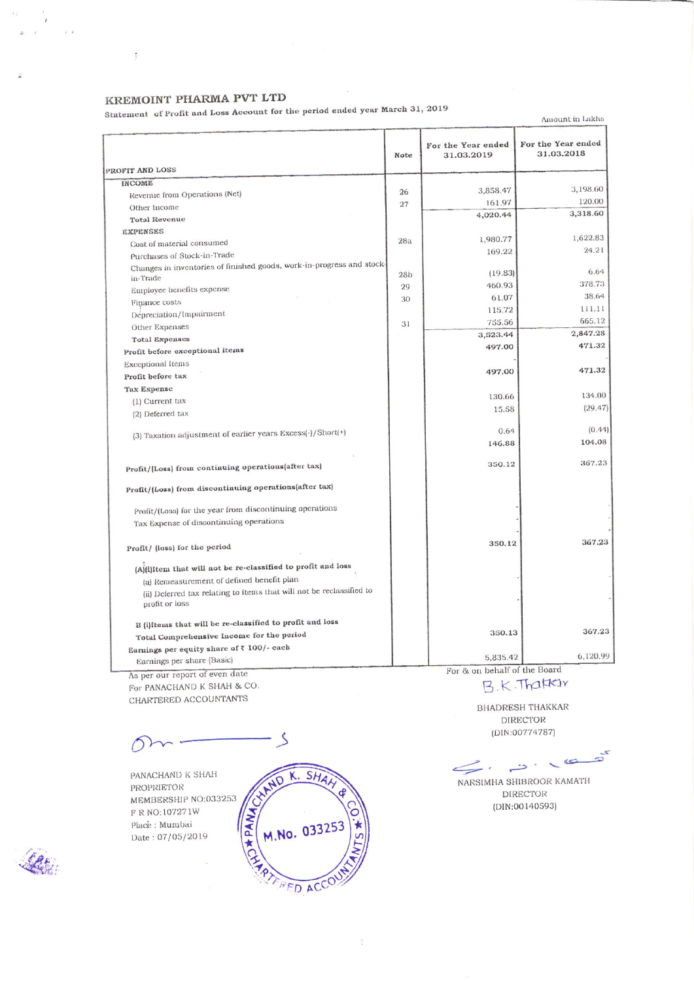## KREMOINT PHARMA PVT LTD

 $\tilde{\mathbf{v}}$ 

Statement of Profit and Loss Account for the period ended year March 31, 2019

| Statement of Profit and Loss Account for the pe                                                      | Amount in Lakhs |                                  |                                  |  |
|------------------------------------------------------------------------------------------------------|-----------------|----------------------------------|----------------------------------|--|
|                                                                                                      | Note            | For the Year ended<br>31.03.2019 | For the Year ended<br>31.03.2018 |  |
| PROFIT AND LOSS                                                                                      |                 |                                  |                                  |  |
| INCOME                                                                                               | 26              | 3,858.47                         | 3,198.60                         |  |
| Revenue from Operations (Net)                                                                        | 27              | 161.97                           | 120.00                           |  |
| Other Income                                                                                         |                 | 4,020.44                         | 3,318.60                         |  |
| <b>Total Revenue</b>                                                                                 |                 |                                  |                                  |  |
| <b>EXPENSES</b>                                                                                      | 28a             | 1,980.77                         | 1,622.83                         |  |
| Cost of material consumed                                                                            |                 | 169.22                           | 24.21                            |  |
| Purchases of Stock-in-Trade<br>Changes in inventories of finished goods, work-in-progress and stock- |                 |                                  |                                  |  |
| in-Trade                                                                                             | 28 <sub>b</sub> | (19.83)                          | 6.64                             |  |
| Employee benefits expense                                                                            | 29              | 460.93                           | 378.73                           |  |
| Finance costs                                                                                        | 30              | 61.07                            | 38.64                            |  |
| Depreciation/Impairment                                                                              |                 | 115.72                           | 111.11                           |  |
| Other Expenses                                                                                       | 31              | 755.56                           | 665.12                           |  |
| <b>Total Expenses</b>                                                                                |                 | 3,523.44                         | 2,847.28                         |  |
| Profit before exceptional items                                                                      |                 | 497.00                           | 471.32                           |  |
| <b>Exceptional</b> Items                                                                             |                 |                                  |                                  |  |
| Profit before tax                                                                                    |                 | 497.00                           | 471.32                           |  |
|                                                                                                      |                 |                                  |                                  |  |
| <b>Tax Expense</b>                                                                                   |                 | 130.66                           | 134.00                           |  |
| (1) Current tax                                                                                      |                 | 15.58                            | (29.47)                          |  |
| (2) Deferred tax                                                                                     |                 |                                  |                                  |  |
| (3) Taxation adjustment of earlier years Excess(-)/Short(+)                                          |                 | 0.64                             | (0.44)                           |  |
|                                                                                                      |                 | 146.88                           | 104.08                           |  |
|                                                                                                      |                 | 350.12                           | 367.23                           |  |
| Profit/(Loss) from continuing operations(after tax)                                                  |                 |                                  |                                  |  |
| Profit/(Loss) from discontinuing operations(after tax)                                               |                 |                                  |                                  |  |
| Profit/(Loss) for the year from discontinuing operations                                             |                 |                                  |                                  |  |
| Tax Expense of discontinuing operations                                                              |                 |                                  |                                  |  |
| Profit/ (loss) for the period                                                                        |                 | 350.12                           | 367.23                           |  |
| (A)(i)Item that will not be re-classified to profit and loss                                         |                 |                                  |                                  |  |
| (a) Remeasurement of defined benefit plan                                                            |                 |                                  |                                  |  |
| (ii) Deferred tax relating to items that will not be reclassified to                                 |                 |                                  |                                  |  |
| profit or loss                                                                                       |                 |                                  |                                  |  |
| B (i) Items that will be re-classified to profit and loss                                            |                 |                                  |                                  |  |
| Total Comprehensive Income for the period                                                            |                 | 350.13                           | 367.23                           |  |
| Earnings per equity share of $\bar{x}$ 100/- each                                                    |                 |                                  |                                  |  |
| Earnings per share (Basic)                                                                           |                 | 5,835.42                         | 6,120.99                         |  |
| As per our report of even date                                                                       |                 | For & on behalf of the Board     |                                  |  |
| For PANACHAND K SHAH & CO.                                                                           |                 | B.K. Thatkar                     |                                  |  |

As per our report of e For PANACHAND K SHAH & CO. CHARTERED ACCOUNTANTS

PANACHAND K SHAH PROPRIETOR MEMBERSHIP NO:033253 F R NO:107271W  $\ensuremath{\mathsf{Place}}\xspace$ : Mumbai Date: 07/05/2019



Ĩ.

 $\leq$ 

**BHADRESH THAKKAR** 

DIRECTOR (DIN:00774787)

5  $\leq$  $\Rightarrow$ .  $\epsilon$ ⇒

NARSIMHA SHIBROOR KAMATH DIRECTOR (DIN:00140593)

 $\mathbf{r}_2$ 

 $\frac{1}{2}$